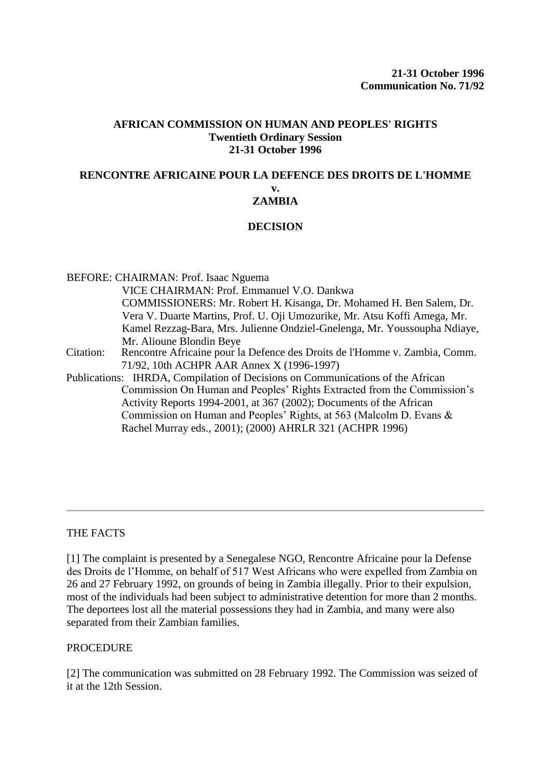#### **AFRICAN COMMISSION ON HUMAN AND PEOPLES' RIGHTS Twentieth Ordinary Session 21-31 October 1996**

#### **RENCONTRE AFRICAINE POUR LA DEFENCE DES DROITS DE L'HOMME v. ZAMBIA**

# **DECISION**

BEFORE: CHAIRMAN: Prof. Isaac Nguema VICE CHAIRMAN: Prof. Emmanuel V.O. Dankwa COMMISSIONERS: Mr. Robert H. Kisanga, Dr. Mohamed H. Ben Salem, Dr. Vera V. Duarte Martins, Prof. U. Oji Umozurike, Mr. Atsu Koffi Amega, Mr. Kamel Rezzag-Bara, Mrs. Julienne Ondziel-Gnelenga, Mr. Youssoupha Ndiaye, Mr. Alioune Blondin Beye Citation: Rencontre Africaine pour la Defence des Droits de l'Homme v. Zambia, Comm. [71/92, 10th ACHPR AAR Annex X \(1996-1997\)](http://www.worldcourts.com/achpr/eng/decisions/1996.10_RADDH_v_Zambia.htm) [Publications:](http://www.worldcourts.com/achpr/eng/decisions/1996.10_RADDH_v_Zambia.htm) IHRDA, Compilation of Decisions on Communications of the African Commission On Human and Peoples' Rights Extracted from the Commission's Activity Reports 1994-2001, at 367 (2002); Documents of the African Commission on Human and Peoples' Rights, at 563 (Malcolm D. Evans &

# Rachel Murray eds., 2001); (2000) AHRLR 321 (ACHPR 1996)

# THE FACTS

[1] The complaint is presented by a Senegalese NGO, Rencontre Africaine pour la Defense des Droits de l'Homme, on behalf of 517 West Africans who were expelled from Zambia on 26 and 27 February 1992, on grounds of being in Zambia illegally. Prior to their expulsion, most of the individuals had been subject to administrative detention for more than 2 months. The deportees lost all the material possessions they had in Zambia, and many were also separated from their Zambian families.

#### **PROCEDURE**

[2] The communication was submitted on 28 February 1992. The Commission was seized of it at the 12th Session.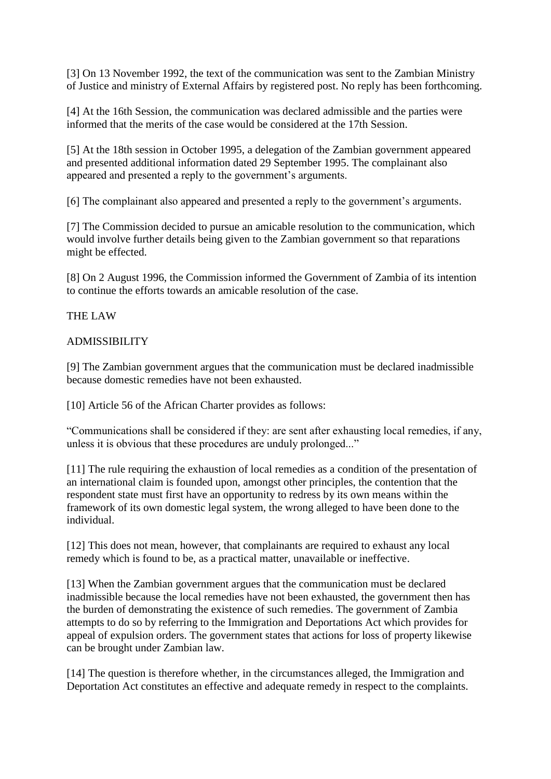[3] On 13 November 1992, the text of the communication was sent to the Zambian Ministry of Justice and ministry of External Affairs by registered post. No reply has been forthcoming.

[4] At the 16th Session, the communication was declared admissible and the parties were informed that the merits of the case would be considered at the 17th Session.

[5] At the 18th session in October 1995, a delegation of the Zambian government appeared and presented additional information dated 29 September 1995. The complainant also appeared and presented a reply to the government's arguments.

[6] The complainant also appeared and presented a reply to the government's arguments.

[7] The Commission decided to pursue an amicable resolution to the communication, which would involve further details being given to the Zambian government so that reparations might be effected.

[8] On 2 August 1996, the Commission informed the Government of Zambia of its intention to continue the efforts towards an amicable resolution of the case.

# THE LAW

#### ADMISSIBILITY

[9] The Zambian government argues that the communication must be declared inadmissible because domestic remedies have not been exhausted.

[10] Article 56 of the African Charter provides as follows:

"Communications shall be considered if they: are sent after exhausting local remedies, if any, unless it is obvious that these procedures are unduly prolonged..."

[11] The rule requiring the exhaustion of local remedies as a condition of the presentation of an international claim is founded upon, amongst other principles, the contention that the respondent state must first have an opportunity to redress by its own means within the framework of its own domestic legal system, the wrong alleged to have been done to the individual.

[12] This does not mean, however, that complainants are required to exhaust any local remedy which is found to be, as a practical matter, unavailable or ineffective.

[13] When the Zambian government argues that the communication must be declared inadmissible because the local remedies have not been exhausted, the government then has the burden of demonstrating the existence of such remedies. The government of Zambia attempts to do so by referring to the Immigration and Deportations Act which provides for appeal of expulsion orders. The government states that actions for loss of property likewise can be brought under Zambian law.

[14] The question is therefore whether, in the circumstances alleged, the Immigration and Deportation Act constitutes an effective and adequate remedy in respect to the complaints.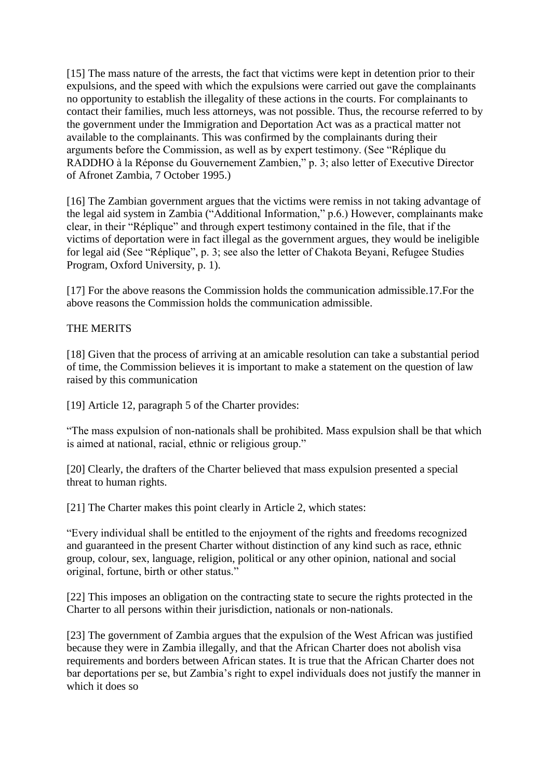[15] The mass nature of the arrests, the fact that victims were kept in detention prior to their expulsions, and the speed with which the expulsions were carried out gave the complainants no opportunity to establish the illegality of these actions in the courts. For complainants to contact their families, much less attorneys, was not possible. Thus, the recourse referred to by the government under the Immigration and Deportation Act was as a practical matter not available to the complainants. This was confirmed by the complainants during their arguments before the Commission, as well as by expert testimony. (See "Réplique du RADDHO à la Réponse du Gouvernement Zambien," p. 3; also letter of Executive Director of Afronet Zambia, 7 October 1995.)

[16] The Zambian government argues that the victims were remiss in not taking advantage of the legal aid system in Zambia ("Additional Information," p.6.) However, complainants make clear, in their "Réplique" and through expert testimony contained in the file, that if the victims of deportation were in fact illegal as the government argues, they would be ineligible for legal aid (See "Réplique", p. 3; see also the letter of Chakota Beyani, Refugee Studies Program, Oxford University, p. 1).

[17] For the above reasons the Commission holds the communication admissible.17.For the above reasons the Commission holds the communication admissible.

# THE MERITS

[18] Given that the process of arriving at an amicable resolution can take a substantial period of time, the Commission believes it is important to make a statement on the question of law raised by this communication

[19] Article 12, paragraph 5 of the Charter provides:

"The mass expulsion of non-nationals shall be prohibited. Mass expulsion shall be that which is aimed at national, racial, ethnic or religious group."

[20] Clearly, the drafters of the Charter believed that mass expulsion presented a special threat to human rights.

[21] The Charter makes this point clearly in Article 2, which states:

"Every individual shall be entitled to the enjoyment of the rights and freedoms recognized and guaranteed in the present Charter without distinction of any kind such as race, ethnic group, colour, sex, language, religion, political or any other opinion, national and social original, fortune, birth or other status."

[22] This imposes an obligation on the contracting state to secure the rights protected in the Charter to all persons within their jurisdiction, nationals or non-nationals.

[23] The government of Zambia argues that the expulsion of the West African was justified because they were in Zambia illegally, and that the African Charter does not abolish visa requirements and borders between African states. It is true that the African Charter does not bar deportations per se, but Zambia's right to expel individuals does not justify the manner in which it does so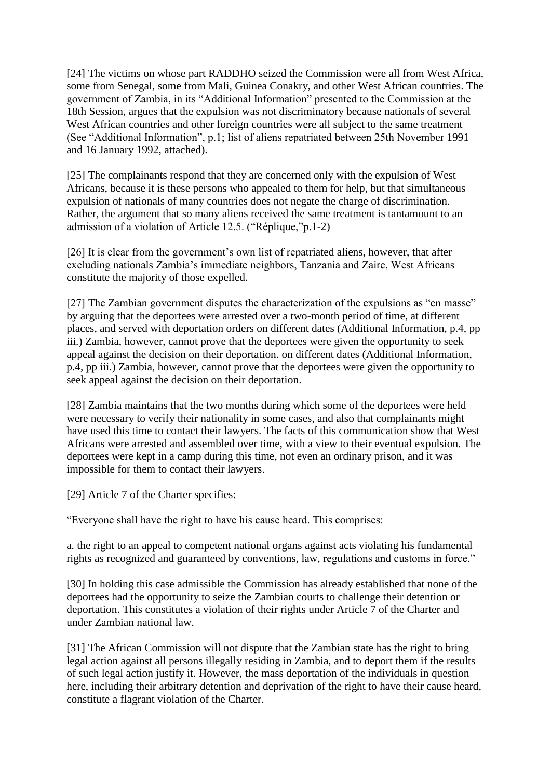[24] The victims on whose part RADDHO seized the Commission were all from West Africa, some from Senegal, some from Mali, Guinea Conakry, and other West African countries. The government of Zambia, in its "Additional Information" presented to the Commission at the 18th Session, argues that the expulsion was not discriminatory because nationals of several West African countries and other foreign countries were all subject to the same treatment (See "Additional Information", p.1; list of aliens repatriated between 25th November 1991 and 16 January 1992, attached).

[25] The complainants respond that they are concerned only with the expulsion of West Africans, because it is these persons who appealed to them for help, but that simultaneous expulsion of nationals of many countries does not negate the charge of discrimination. Rather, the argument that so many aliens received the same treatment is tantamount to an admission of a violation of Article 12.5. ("Réplique,"p.1-2)

[26] It is clear from the government's own list of repatriated aliens, however, that after excluding nationals Zambia's immediate neighbors, Tanzania and Zaire, West Africans constitute the majority of those expelled.

[27] The Zambian government disputes the characterization of the expulsions as "en masse" by arguing that the deportees were arrested over a two-month period of time, at different places, and served with deportation orders on different dates (Additional Information, p.4, pp iii.) Zambia, however, cannot prove that the deportees were given the opportunity to seek appeal against the decision on their deportation. on different dates (Additional Information, p.4, pp iii.) Zambia, however, cannot prove that the deportees were given the opportunity to seek appeal against the decision on their deportation.

[28] Zambia maintains that the two months during which some of the deportees were held were necessary to verify their nationality in some cases, and also that complainants might have used this time to contact their lawyers. The facts of this communication show that West Africans were arrested and assembled over time, with a view to their eventual expulsion. The deportees were kept in a camp during this time, not even an ordinary prison, and it was impossible for them to contact their lawyers.

[29] Article 7 of the Charter specifies:

"Everyone shall have the right to have his cause heard. This comprises:

a. the right to an appeal to competent national organs against acts violating his fundamental rights as recognized and guaranteed by conventions, law, regulations and customs in force."

[30] In holding this case admissible the Commission has already established that none of the deportees had the opportunity to seize the Zambian courts to challenge their detention or deportation. This constitutes a violation of their rights under Article 7 of the Charter and under Zambian national law.

[31] The African Commission will not dispute that the Zambian state has the right to bring legal action against all persons illegally residing in Zambia, and to deport them if the results of such legal action justify it. However, the mass deportation of the individuals in question here, including their arbitrary detention and deprivation of the right to have their cause heard, constitute a flagrant violation of the Charter.